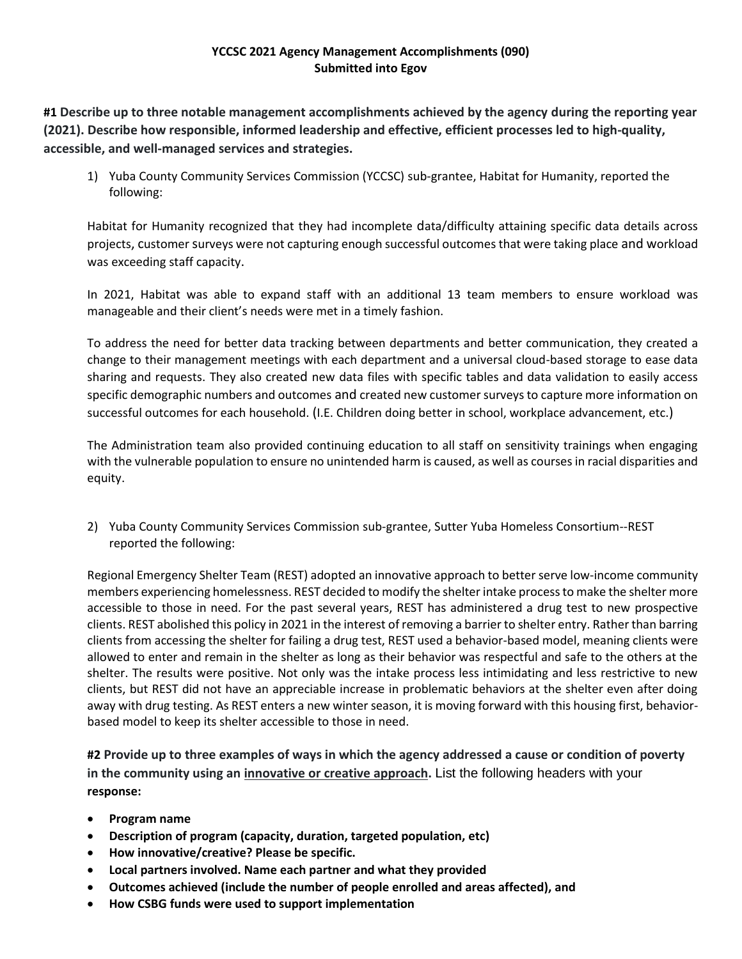# **YCCSC 2021 Agency Management Accomplishments (090) Submitted into Egov**

**#1 Describe up to three notable management accomplishments achieved by the agency during the reporting year (2021). Describe how responsible, informed leadership and effective, efficient processes led to high‐quality, accessible, and well‐managed services and strategies.**

1) Yuba County Community Services Commission (YCCSC) sub-grantee, Habitat for Humanity, reported the following:

Habitat for Humanity recognized that they had incomplete data/difficulty attaining specific data details across projects, customer surveys were not capturing enough successful outcomes that were taking place and workload was exceeding staff capacity.

In 2021, Habitat was able to expand staff with an additional 13 team members to ensure workload was manageable and their client's needs were met in a timely fashion.

To address the need for better data tracking between departments and better communication, they created a change to their management meetings with each department and a universal cloud-based storage to ease data sharing and requests. They also created new data files with specific tables and data validation to easily access specific demographic numbers and outcomes and created new customer surveys to capture more information on successful outcomes for each household. (I.E. Children doing better in school, workplace advancement, etc.)

The Administration team also provided continuing education to all staff on sensitivity trainings when engaging with the vulnerable population to ensure no unintended harm is caused, as well as courses in racial disparities and equity.

2) Yuba County Community Services Commission sub-grantee, Sutter Yuba Homeless Consortium--REST reported the following:

Regional Emergency Shelter Team (REST) adopted an innovative approach to better serve low-income community members experiencing homelessness. REST decided to modify the shelter intake process to make the shelter more accessible to those in need. For the past several years, REST has administered a drug test to new prospective clients. REST abolished this policy in 2021 in the interest of removing a barrier to shelter entry. Rather than barring clients from accessing the shelter for failing a drug test, REST used a behavior-based model, meaning clients were allowed to enter and remain in the shelter as long as their behavior was respectful and safe to the others at the shelter. The results were positive. Not only was the intake process less intimidating and less restrictive to new clients, but REST did not have an appreciable increase in problematic behaviors at the shelter even after doing away with drug testing. As REST enters a new winter season, it is moving forward with this housing first, behaviorbased model to keep its shelter accessible to those in need.

**#2 Provide up to three examples of ways in which the agency addressed a cause or condition of poverty in the community using an innovative or creative approach.** List the following headers with your **response:**

- **Program name**
- **Description of program (capacity, duration, targeted population, etc)**
- **How innovative/creative? Please be specific.**
- **Local partners involved. Name each partner and what they provided**
- **Outcomes achieved (include the number of people enrolled and areas affected), and**
- **How CSBG funds were used to support implementation**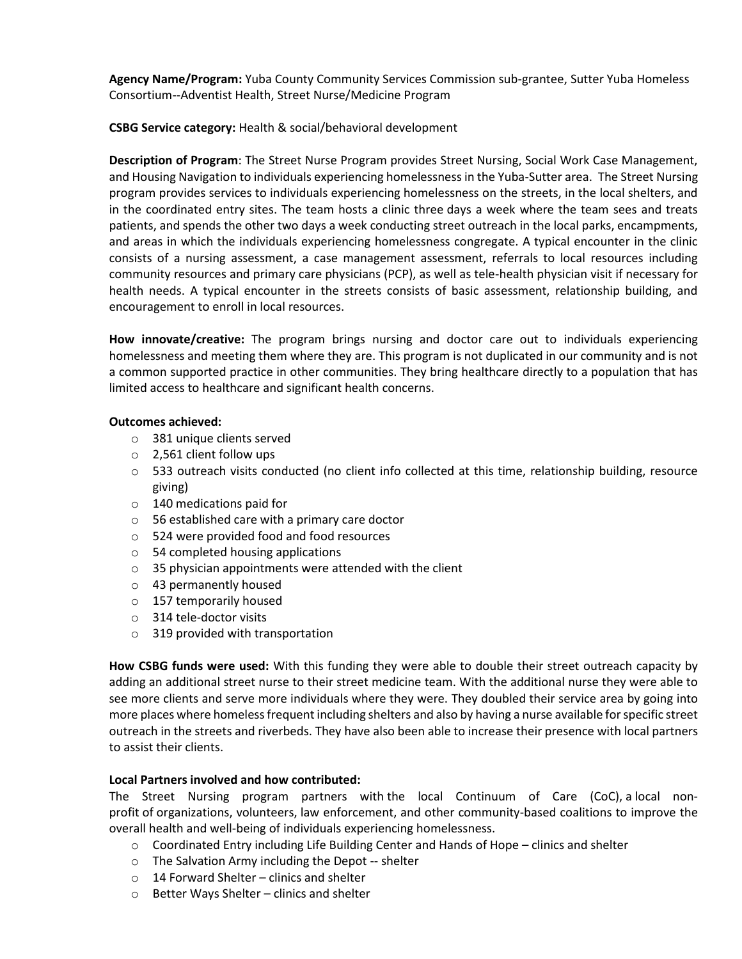**Agency Name/Program:** Yuba County Community Services Commission sub-grantee, Sutter Yuba Homeless Consortium--Adventist Health, Street Nurse/Medicine Program

**CSBG Service category:** Health & social/behavioral development

**Description of Program**: The Street Nurse Program provides Street Nursing, Social Work Case Management, and Housing Navigation to individuals experiencing homelessness in the Yuba-Sutter area. The Street Nursing program provides services to individuals experiencing homelessness on the streets, in the local shelters, and in the coordinated entry sites. The team hosts a clinic three days a week where the team sees and treats patients, and spends the other two days a week conducting street outreach in the local parks, encampments, and areas in which the individuals experiencing homelessness congregate. A typical encounter in the clinic consists of a nursing assessment, a case management assessment, referrals to local resources including community resources and primary care physicians (PCP), as well as tele-health physician visit if necessary for health needs. A typical encounter in the streets consists of basic assessment, relationship building, and encouragement to enroll in local resources.

**How innovate/creative:** The program brings nursing and doctor care out to individuals experiencing homelessness and meeting them where they are. This program is not duplicated in our community and is not a common supported practice in other communities. They bring healthcare directly to a population that has limited access to healthcare and significant health concerns.

# **Outcomes achieved:**

- o 381 unique clients served
- o 2,561 client follow ups
- $\circ$  533 outreach visits conducted (no client info collected at this time, relationship building, resource giving)
- o 140 medications paid for
- o 56 established care with a primary care doctor
- o 524 were provided food and food resources
- o 54 completed housing applications
- $\circ$  35 physician appointments were attended with the client
- o 43 permanently housed
- o 157 temporarily housed
- o 314 tele-doctor visits
- o 319 provided with transportation

**How CSBG funds were used:** With this funding they were able to double their street outreach capacity by adding an additional street nurse to their street medicine team. With the additional nurse they were able to see more clients and serve more individuals where they were. They doubled their service area by going into more places where homeless frequent including shelters and also by having a nurse available for specific street outreach in the streets and riverbeds. They have also been able to increase their presence with local partners to assist their clients.

# **Local Partners involved and how contributed:**

The Street Nursing program partners with the local Continuum of Care (CoC), a local nonprofit of organizations, volunteers, law enforcement, and other community-based coalitions to improve the overall health and well-being of individuals experiencing homelessness.

- o Coordinated Entry including Life Building Center and Hands of Hope clinics and shelter
- o The Salvation Army including the Depot -- shelter
- o 14 Forward Shelter clinics and shelter
- o Better Ways Shelter clinics and shelter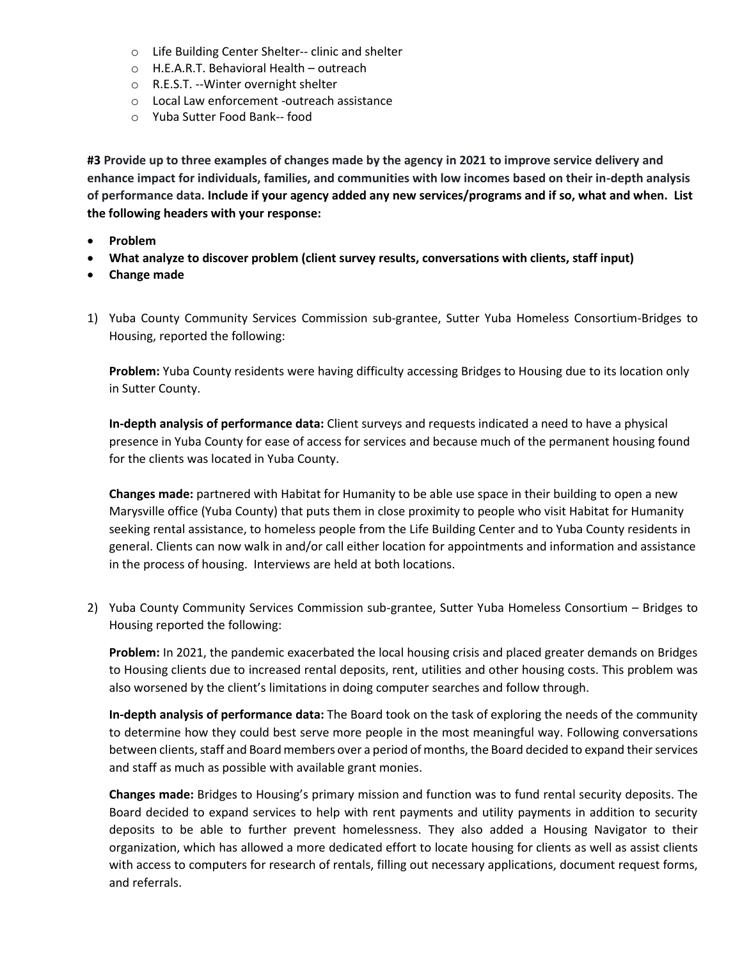- o Life Building Center Shelter-- clinic and shelter
- o H.E.A.R.T. Behavioral Health outreach
- o R.E.S.T. --Winter overnight shelter
- o Local Law enforcement -outreach assistance
- o Yuba Sutter Food Bank-- food

**#3 Provide up to three examples of changes made by the agency in 2021 to improve service delivery and enhance impact for individuals, families, and communities with low incomes based on their in-depth analysis of performance data. Include if your agency added any new services/programs and if so, what and when. List the following headers with your response:**

- **Problem**
- **What analyze to discover problem (client survey results, conversations with clients, staff input)**
- **Change made**
- 1) Yuba County Community Services Commission sub-grantee, Sutter Yuba Homeless Consortium-Bridges to Housing, reported the following:

**Problem:** Yuba County residents were having difficulty accessing Bridges to Housing due to its location only in Sutter County.

**In-depth analysis of performance data:** Client surveys and requests indicated a need to have a physical presence in Yuba County for ease of access for services and because much of the permanent housing found for the clients was located in Yuba County.

**Changes made:** partnered with Habitat for Humanity to be able use space in their building to open a new Marysville office (Yuba County) that puts them in close proximity to people who visit Habitat for Humanity seeking rental assistance, to homeless people from the Life Building Center and to Yuba County residents in general. Clients can now walk in and/or call either location for appointments and information and assistance in the process of housing. Interviews are held at both locations.

2) Yuba County Community Services Commission sub-grantee, Sutter Yuba Homeless Consortium – Bridges to Housing reported the following:

**Problem:** In 2021, the pandemic exacerbated the local housing crisis and placed greater demands on Bridges to Housing clients due to increased rental deposits, rent, utilities and other housing costs. This problem was also worsened by the client's limitations in doing computer searches and follow through.

**In-depth analysis of performance data:** The Board took on the task of exploring the needs of the community to determine how they could best serve more people in the most meaningful way. Following conversations between clients, staff and Board members over a period of months, the Board decided to expand their services and staff as much as possible with available grant monies.

**Changes made:** Bridges to Housing's primary mission and function was to fund rental security deposits. The Board decided to expand services to help with rent payments and utility payments in addition to security deposits to be able to further prevent homelessness. They also added a Housing Navigator to their organization, which has allowed a more dedicated effort to locate housing for clients as well as assist clients with access to computers for research of rentals, filling out necessary applications, document request forms, and referrals.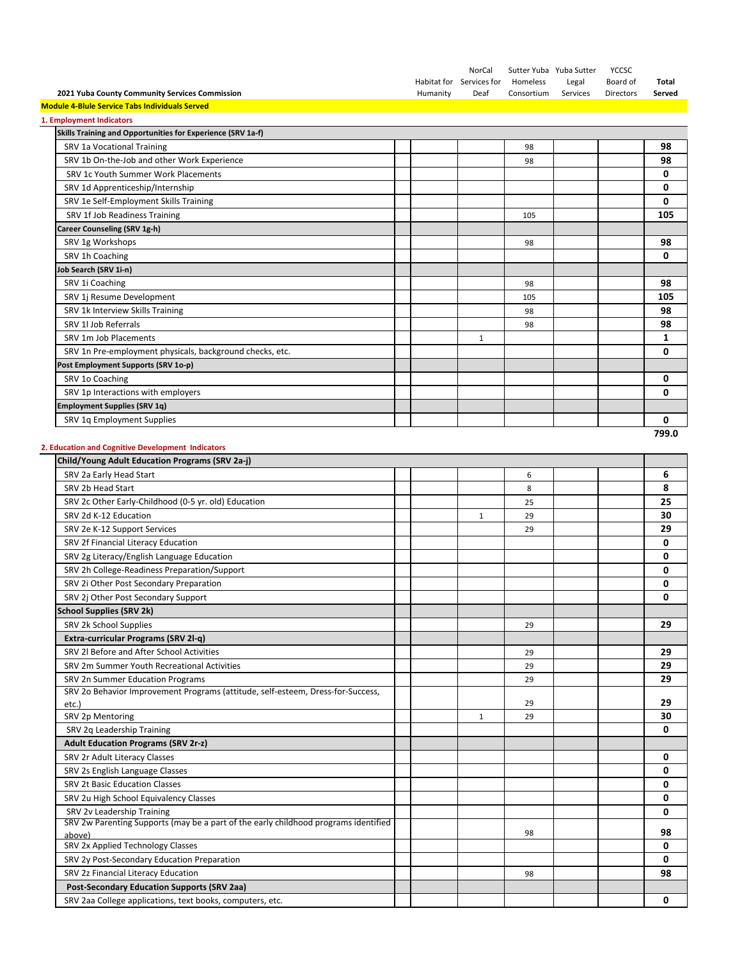|                                                                                                                   |          | NorCal                   | Sutter Yuba Yuba Sutter |          | <b>YCCSC</b> |         |
|-------------------------------------------------------------------------------------------------------------------|----------|--------------------------|-------------------------|----------|--------------|---------|
|                                                                                                                   |          | Habitat for Services for | Homeless                | Legal    | Board of     | Total   |
| 2021 Yuba County Community Services Commission                                                                    | Humanity | Deaf                     | Consortium              | Services | Directors    | Served  |
| <b>Module 4-Blule Service Tabs Individuals Served</b>                                                             |          |                          |                         |          |              |         |
| 1. Employment Indicators<br>Skills Training and Opportunities for Experience (SRV 1a-f)                           |          |                          |                         |          |              |         |
| SRV 1a Vocational Training                                                                                        |          |                          |                         |          |              |         |
|                                                                                                                   |          |                          | 98                      |          |              | 98      |
| SRV 1b On-the-Job and other Work Experience<br>SRV 1c Youth Summer Work Placements                                |          |                          | 98                      |          |              | 98<br>0 |
|                                                                                                                   |          |                          |                         |          |              | 0       |
| SRV 1d Apprenticeship/Internship<br>SRV 1e Self-Employment Skills Training                                        |          |                          |                         |          |              | 0       |
|                                                                                                                   |          |                          |                         |          |              |         |
| SRV 1f Job Readiness Training                                                                                     |          |                          | 105                     |          |              | 105     |
| Career Counseling (SRV 1g-h)                                                                                      |          |                          |                         |          |              | 98      |
| SRV 1g Workshops                                                                                                  |          |                          | 98                      |          |              | 0       |
| SRV 1h Coaching                                                                                                   |          |                          |                         |          |              |         |
| lob Search (SRV 1i-n)                                                                                             |          |                          |                         |          |              |         |
| SRV 1i Coaching                                                                                                   |          |                          | 98                      |          |              | 98      |
| SRV 1j Resume Development                                                                                         |          |                          | 105                     |          |              | 105     |
| SRV 1k Interview Skills Training                                                                                  |          |                          | 98                      |          |              | 98      |
| SRV 1l Job Referrals                                                                                              |          |                          | 98                      |          |              | 98      |
| SRV 1m Job Placements                                                                                             |          | $\mathbf{1}$             |                         |          |              | 1       |
| SRV 1n Pre-employment physicals, background checks, etc.                                                          |          |                          |                         |          |              | 0       |
| Post Employment Supports (SRV 1o-p)                                                                               |          |                          |                         |          |              |         |
| SRV 1o Coaching                                                                                                   |          |                          |                         |          |              | 0       |
| SRV 1p Interactions with employers                                                                                |          |                          |                         |          |              | 0       |
| <b>Employment Supplies (SRV 1q)</b>                                                                               |          |                          |                         |          |              |         |
| SRV 1q Employment Supplies                                                                                        |          |                          |                         |          |              | 0       |
|                                                                                                                   |          |                          |                         |          |              | 799.0   |
| 2. Education and Cognitive Development Indicators                                                                 |          |                          |                         |          |              |         |
| Child/Young Adult Education Programs (SRV 2a-j)                                                                   |          |                          |                         |          |              |         |
| SRV 2a Early Head Start                                                                                           |          |                          | 6                       |          |              | 6       |
| SRV 2b Head Start                                                                                                 |          |                          | 8                       |          |              | 8       |
| SRV 2c Other Early-Childhood (0-5 yr. old) Education                                                              |          |                          | 25                      |          |              | 25      |
| SRV 2d K-12 Education                                                                                             |          | 1                        | 29                      |          |              | 30      |
| SRV 2e K-12 Support Services                                                                                      |          |                          | 29                      |          |              | 29      |
| SRV 2f Financial Literacy Education                                                                               |          |                          |                         |          |              | 0       |
| SRV 2g Literacy/English Language Education                                                                        |          |                          |                         |          |              | 0       |
| SRV 2h College-Readiness Preparation/Support                                                                      |          |                          |                         |          |              | 0       |
| SRV 2i Other Post Secondary Preparation                                                                           |          |                          |                         |          |              | 0       |
| SRV 2j Other Post Secondary Support                                                                               |          |                          |                         |          |              | 0       |
| <b>School Supplies (SRV 2k)</b>                                                                                   |          |                          |                         |          |              |         |
| SRV 2k School Supplies                                                                                            |          |                          | 29                      |          |              | 29      |
| Extra-curricular Programs (SRV 2l-q)                                                                              |          |                          |                         |          |              |         |
| SRV 2l Before and After School Activities                                                                         |          |                          | 29                      |          |              | 29      |
| SRV 2m Summer Youth Recreational Activities                                                                       |          |                          | 29                      |          |              | 29      |
| SRV 2n Summer Education Programs                                                                                  |          |                          | 29                      |          |              | 29      |
| SRV 2o Behavior Improvement Programs (attitude, self-esteem, Dress-for-Success,                                   |          |                          | 29                      |          |              | 29      |
| etc.)<br>SRV 2p Mentoring                                                                                         |          | $\mathbf{1}$             | 29                      |          |              | 30      |
| SRV 2q Leadership Training                                                                                        |          |                          |                         |          |              | 0       |
| <b>Adult Education Programs (SRV 2r-z)</b>                                                                        |          |                          |                         |          |              |         |
| SRV 2r Adult Literacy Classes                                                                                     |          |                          |                         |          |              | 0       |
|                                                                                                                   |          |                          |                         |          |              | 0       |
| SRV 2s English Language Classes<br>SRV 2t Basic Education Classes                                                 |          |                          |                         |          |              | 0       |
| SRV 2u High School Equivalency Classes                                                                            |          |                          |                         |          |              | 0       |
|                                                                                                                   |          |                          |                         |          |              | 0       |
| SRV 2v Leadership Training<br>SRV 2w Parenting Supports (may be a part of the early childhood programs identified |          |                          |                         |          |              |         |
| above)                                                                                                            |          |                          | 98                      |          |              | 98      |
| SRV 2x Applied Technology Classes                                                                                 |          |                          |                         |          |              | 0       |
| SRV 2y Post-Secondary Education Preparation                                                                       |          |                          |                         |          |              | 0       |
| SRV 2z Financial Literacy Education                                                                               |          |                          | 98                      |          |              | 98      |
| <b>Post-Secondary Education Supports (SRV 2aa)</b>                                                                |          |                          |                         |          |              |         |
| SRV 2aa College applications, text books, computers, etc.                                                         |          |                          |                         |          |              | 0       |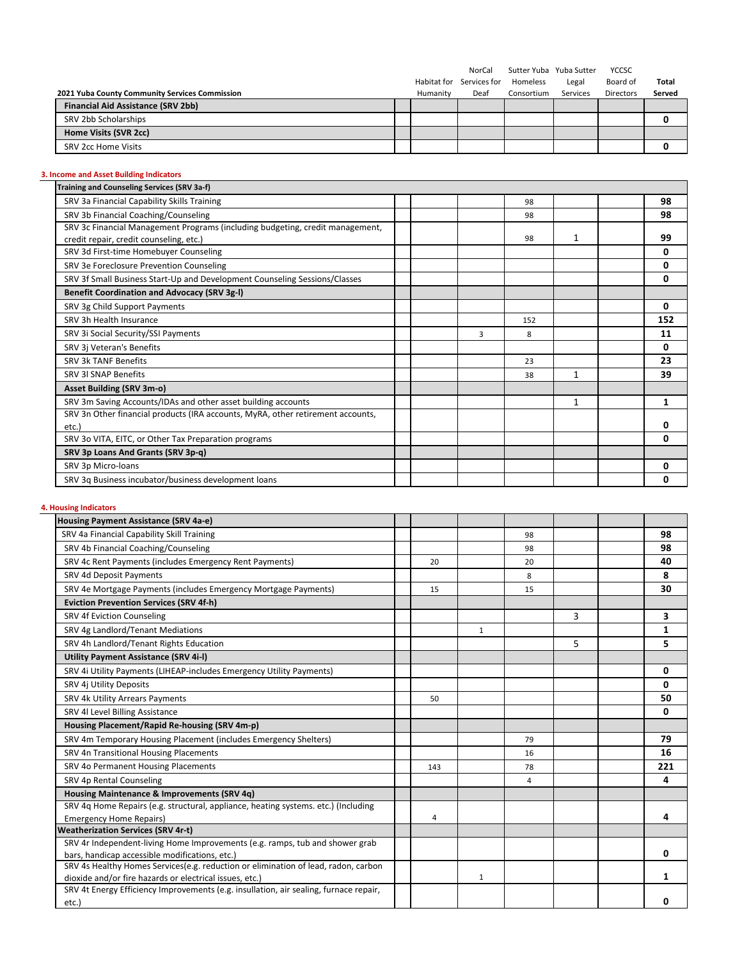|                                                |          | NorCal                   | Sutter Yuba Yuba Sutter |          | <b>YCCSC</b>     |        |
|------------------------------------------------|----------|--------------------------|-------------------------|----------|------------------|--------|
|                                                |          | Habitat for Services for | Homeless                | Legal    | Board of         | Total  |
| 2021 Yuba County Community Services Commission | Humanity | Deaf                     | Consortium              | Services | <b>Directors</b> | Served |
| Financial Aid Assistance (SRV 2bb)             |          |                          |                         |          |                  |        |
| SRV 2bb Scholarships                           |          |                          |                         |          |                  |        |
| Home Visits (SVR 2cc)                          |          |                          |                         |          |                  |        |
| SRV 2cc Home Visits                            |          |                          |                         |          |                  |        |

# **3. Income and Asset Building Indicators**

| Training and Counseling Services (SRV 3a-f)                                     |   |     |   |     |
|---------------------------------------------------------------------------------|---|-----|---|-----|
| SRV 3a Financial Capability Skills Training                                     |   | 98  |   | 98  |
| SRV 3b Financial Coaching/Counseling                                            |   | 98  |   | 98  |
| SRV 3c Financial Management Programs (including budgeting, credit management,   |   |     |   |     |
| credit repair, credit counseling, etc.)                                         |   | 98  | 1 | 99  |
| SRV 3d First-time Homebuyer Counseling                                          |   |     |   | 0   |
| SRV 3e Foreclosure Prevention Counseling                                        |   |     |   | 0   |
| SRV 3f Small Business Start-Up and Development Counseling Sessions/Classes      |   |     |   | 0   |
| Benefit Coordination and Advocacy (SRV 3g-I)                                    |   |     |   |     |
| SRV 3g Child Support Payments                                                   |   |     |   | 0   |
| SRV 3h Health Insurance                                                         |   | 152 |   | 152 |
| SRV 3i Social Security/SSI Payments                                             | 3 | 8   |   | 11  |
| SRV 3j Veteran's Benefits                                                       |   |     |   | 0   |
| SRV 3k TANF Benefits                                                            |   | 23  |   | 23  |
| <b>SRV 3I SNAP Benefits</b>                                                     |   | 38  | 1 | 39  |
| <b>Asset Building (SRV 3m-o)</b>                                                |   |     |   |     |
| SRV 3m Saving Accounts/IDAs and other asset building accounts                   |   |     | 1 | 1   |
| SRV 3n Other financial products (IRA accounts, MyRA, other retirement accounts, |   |     |   |     |
| etc.                                                                            |   |     |   | 0   |
| SRV 3o VITA, EITC, or Other Tax Preparation programs                            |   |     |   | 0   |
| SRV 3p Loans And Grants (SRV 3p-q)                                              |   |     |   |     |
| SRV 3p Micro-loans                                                              |   |     |   | 0   |
| SRV 3q Business incubator/business development loans                            |   |     |   | 0   |

# **4. Housing Indicators**

| Housing Payment Assistance (SRV 4a-e)                                                 |     |              |    |   |     |
|---------------------------------------------------------------------------------------|-----|--------------|----|---|-----|
| SRV 4a Financial Capability Skill Training                                            |     |              | 98 |   | 98  |
| SRV 4b Financial Coaching/Counseling                                                  |     |              | 98 |   | 98  |
| SRV 4c Rent Payments (includes Emergency Rent Payments)                               | 20  |              | 20 |   | 40  |
| SRV 4d Deposit Payments                                                               |     |              | 8  |   | 8   |
| SRV 4e Mortgage Payments (includes Emergency Mortgage Payments)                       | 15  |              | 15 |   | 30  |
| <b>Eviction Prevention Services (SRV 4f-h)</b>                                        |     |              |    |   |     |
| SRV 4f Eviction Counseling                                                            |     |              |    | 3 | 3   |
| SRV 4g Landlord/Tenant Mediations                                                     |     | $\mathbf{1}$ |    |   | 1   |
| SRV 4h Landlord/Tenant Rights Education                                               |     |              |    | 5 | 5   |
| Utility Payment Assistance (SRV 4i-I)                                                 |     |              |    |   |     |
| SRV 4i Utility Payments (LIHEAP-includes Emergency Utility Payments)                  |     |              |    |   | 0   |
| SRV 4j Utility Deposits                                                               |     |              |    |   | 0   |
| SRV 4k Utility Arrears Payments                                                       | 50  |              |    |   | 50  |
| SRV 4l Level Billing Assistance                                                       |     |              |    |   | 0   |
| Housing Placement/Rapid Re-housing (SRV 4m-p)                                         |     |              |    |   |     |
| SRV 4m Temporary Housing Placement (includes Emergency Shelters)                      |     |              | 79 |   | 79  |
| SRV 4n Transitional Housing Placements                                                |     |              | 16 |   | 16  |
| SRV 4o Permanent Housing Placements                                                   | 143 |              | 78 |   | 221 |
| SRV 4p Rental Counseling                                                              |     |              | 4  |   | 4   |
| Housing Maintenance & Improvements (SRV 4q)                                           |     |              |    |   |     |
| SRV 4q Home Repairs (e.g. structural, appliance, heating systems. etc.) (Including    |     |              |    |   |     |
| <b>Emergency Home Repairs)</b>                                                        | 4   |              |    |   | 4   |
| <b>Weatherization Services (SRV 4r-t)</b>                                             |     |              |    |   |     |
| SRV 4r Independent-living Home Improvements (e.g. ramps, tub and shower grab          |     |              |    |   |     |
| bars, handicap accessible modifications, etc.)                                        |     |              |    |   | 0   |
| SRV 4s Healthy Homes Services(e.g. reduction or elimination of lead, radon, carbon    |     |              |    |   |     |
| dioxide and/or fire hazards or electrical issues, etc.)                               |     | $\mathbf{1}$ |    |   | 1   |
| SRV 4t Energy Efficiency Improvements (e.g. insullation, air sealing, furnace repair, |     |              |    |   |     |
| etc.)                                                                                 |     |              |    |   | n   |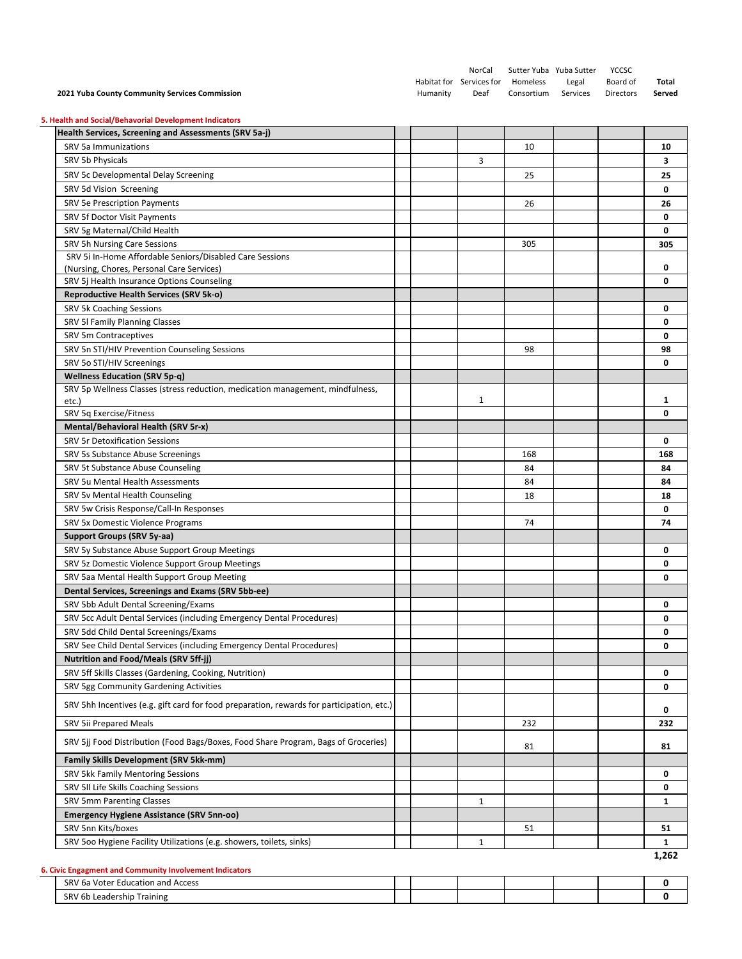| 2021 Yuba County Community Services Commission                                                                 | Humanity | NorCal<br>Habitat for Services for<br>Deaf | Sutter Yuba Yuba Sutter<br>Homeless<br>Consortium | Legal<br>Services | YCCSC<br>Board of<br>Directors | Total<br>Served |
|----------------------------------------------------------------------------------------------------------------|----------|--------------------------------------------|---------------------------------------------------|-------------------|--------------------------------|-----------------|
| 5. Health and Social/Behavorial Development Indicators                                                         |          |                                            |                                                   |                   |                                |                 |
| Health Services, Screening and Assessments (SRV 5a-j)                                                          |          |                                            |                                                   |                   |                                |                 |
| SRV 5a Immunizations                                                                                           |          |                                            | 10                                                |                   |                                | 10              |
| SRV 5b Physicals                                                                                               |          | 3                                          |                                                   |                   |                                | 3               |
| SRV 5c Developmental Delay Screening                                                                           |          |                                            | 25                                                |                   |                                | 25              |
| SRV 5d Vision Screening                                                                                        |          |                                            |                                                   |                   |                                | 0               |
| SRV 5e Prescription Payments                                                                                   |          |                                            | 26                                                |                   |                                | 26              |
| SRV 5f Doctor Visit Payments                                                                                   |          |                                            |                                                   |                   |                                | 0               |
| SRV 5g Maternal/Child Health                                                                                   |          |                                            |                                                   |                   |                                | 0               |
| SRV 5h Nursing Care Sessions                                                                                   |          |                                            | 305                                               |                   |                                | 305             |
| SRV 5i In-Home Affordable Seniors/Disabled Care Sessions                                                       |          |                                            |                                                   |                   |                                |                 |
| (Nursing, Chores, Personal Care Services)                                                                      |          |                                            |                                                   |                   |                                | 0               |
| SRV 5j Health Insurance Options Counseling                                                                     |          |                                            |                                                   |                   |                                | 0               |
| Reproductive Health Services (SRV 5k-o)                                                                        |          |                                            |                                                   |                   |                                |                 |
| SRV 5k Coaching Sessions                                                                                       |          |                                            |                                                   |                   |                                | 0<br>0          |
| SRV 5I Family Planning Classes                                                                                 |          |                                            |                                                   |                   |                                |                 |
| SRV 5m Contraceptives<br>SRV 5n STI/HIV Prevention Counseling Sessions                                         |          |                                            | 98                                                |                   |                                | 0<br>98         |
| SRV 5o STI/HIV Screenings                                                                                      |          |                                            |                                                   |                   |                                | 0               |
| <b>Wellness Education (SRV 5p-q)</b>                                                                           |          |                                            |                                                   |                   |                                |                 |
| SRV 5p Wellness Classes (stress reduction, medication management, mindfulness,                                 |          |                                            |                                                   |                   |                                |                 |
| etc.)                                                                                                          |          | 1                                          |                                                   |                   |                                | 1               |
| SRV 5q Exercise/Fitness                                                                                        |          |                                            |                                                   |                   |                                | 0               |
| Mental/Behavioral Health (SRV 5r-x)                                                                            |          |                                            |                                                   |                   |                                |                 |
| <b>SRV 5r Detoxification Sessions</b>                                                                          |          |                                            |                                                   |                   |                                | 0               |
| SRV 5s Substance Abuse Screenings                                                                              |          |                                            | 168                                               |                   |                                | 168             |
| SRV 5t Substance Abuse Counseling                                                                              |          |                                            | 84                                                |                   |                                | 84              |
| SRV 5u Mental Health Assessments                                                                               |          |                                            | 84                                                |                   |                                | 84              |
| SRV 5v Mental Health Counseling                                                                                |          |                                            | 18                                                |                   |                                | 18              |
| SRV 5w Crisis Response/Call-In Responses                                                                       |          |                                            |                                                   |                   |                                | 0               |
| SRV 5x Domestic Violence Programs                                                                              |          |                                            | 74                                                |                   |                                | 74              |
| Support Groups (SRV 5y-aa)                                                                                     |          |                                            |                                                   |                   |                                |                 |
| SRV 5y Substance Abuse Support Group Meetings                                                                  |          |                                            |                                                   |                   |                                | 0               |
| SRV 5z Domestic Violence Support Group Meetings                                                                |          |                                            |                                                   |                   |                                | 0               |
| SRV 5aa Mental Health Support Group Meeting                                                                    |          |                                            |                                                   |                   |                                | 0               |
| Dental Services, Screenings and Exams (SRV 5bb-ee)                                                             |          |                                            |                                                   |                   |                                |                 |
| SRV 5bb Adult Dental Screening/Exams                                                                           |          |                                            |                                                   |                   |                                | 0               |
| SRV 5cc Adult Dental Services (including Emergency Dental Procedures)<br>SRV 5dd Child Dental Screenings/Exams |          |                                            |                                                   |                   |                                | 0               |
| SRV 5ee Child Dental Services (including Emergency Dental Procedures)                                          |          |                                            |                                                   |                   |                                | 0<br>0          |
| <b>Nutrition and Food/Meals (SRV 5ff-jj)</b>                                                                   |          |                                            |                                                   |                   |                                |                 |
| SRV 5ff Skills Classes (Gardening, Cooking, Nutrition)                                                         |          |                                            |                                                   |                   |                                | 0               |
| SRV 5gg Community Gardening Activities                                                                         |          |                                            |                                                   |                   |                                | 0               |
| SRV 5hh Incentives (e.g. gift card for food preparation, rewards for participation, etc.)                      |          |                                            |                                                   |                   |                                | 0               |
| SRV 5ii Prepared Meals                                                                                         |          |                                            | 232                                               |                   |                                | 232             |
| SRV 5ij Food Distribution (Food Bags/Boxes, Food Share Program, Bags of Groceries)                             |          |                                            |                                                   |                   |                                |                 |
| <b>Family Skills Development (SRV 5kk-mm)</b>                                                                  |          |                                            | 81                                                |                   |                                | 81              |
| SRV 5kk Family Mentoring Sessions                                                                              |          |                                            |                                                   |                   |                                | 0               |
| SRV 5II Life Skills Coaching Sessions                                                                          |          |                                            |                                                   |                   |                                | 0               |
| SRV 5mm Parenting Classes                                                                                      |          | 1                                          |                                                   |                   |                                | 1               |
| <b>Emergency Hygiene Assistance (SRV 5nn-oo)</b>                                                               |          |                                            |                                                   |                   |                                |                 |
| SRV 5nn Kits/boxes                                                                                             |          |                                            | 51                                                |                   |                                | 51              |
| SRV 500 Hygiene Facility Utilizations (e.g. showers, toilets, sinks)                                           |          | $\mathbf{1}$                               |                                                   |                   |                                | 1               |
| 6. Civic Engagment and Community Involvement Indicators                                                        |          |                                            |                                                   |                   |                                | 1,262           |
| SRV 6a Voter Education and Access                                                                              |          |                                            |                                                   |                   |                                | 0               |
| SRV 6b Leadership Training                                                                                     |          |                                            |                                                   |                   |                                | 0               |
|                                                                                                                |          |                                            |                                                   |                   |                                |                 |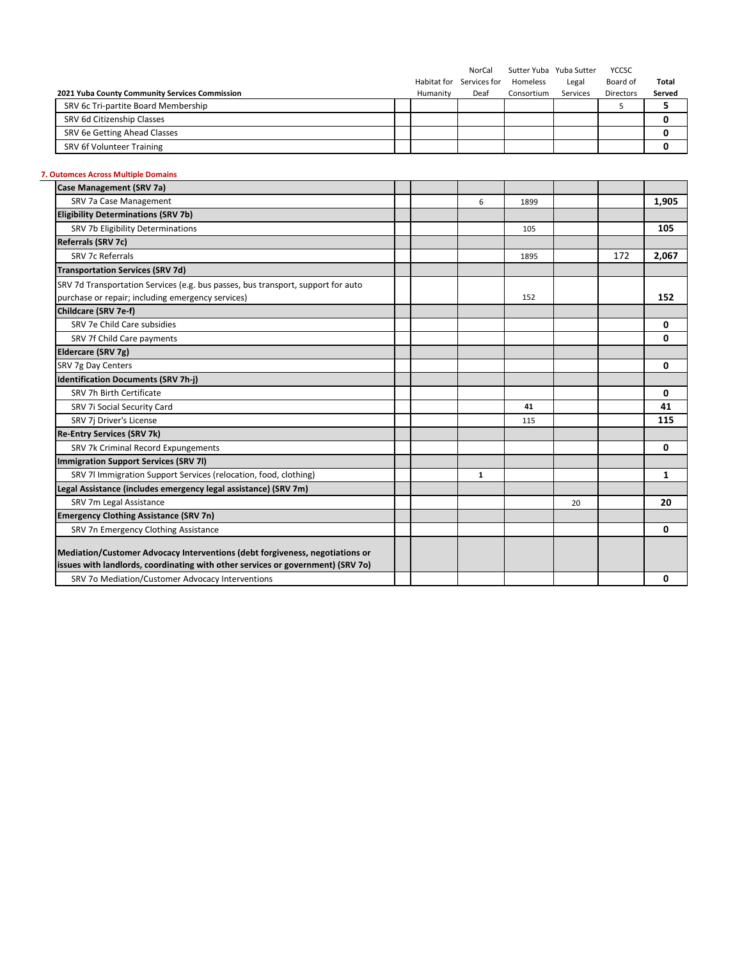|                                                |          | NorCal                   |            | Sutter Yuba Yuba Sutter | YCCSC            |        |
|------------------------------------------------|----------|--------------------------|------------|-------------------------|------------------|--------|
|                                                |          | Habitat for Services for | Homeless   | Legal                   | Board of         | Total  |
| 2021 Yuba County Community Services Commission | Humanity | Deaf                     | Consortium | Services                | <b>Directors</b> | Served |
| SRV 6c Tri-partite Board Membership            |          |                          |            |                         |                  |        |
| SRV 6d Citizenship Classes                     |          |                          |            |                         |                  |        |
| SRV 6e Getting Ahead Classes                   |          |                          |            |                         |                  |        |
| SRV 6f Volunteer Training                      |          |                          |            |                         |                  |        |

# **7. Outomces Across Multiple Domains**

| Case Management (SRV 7a)                                                         |  |   |      |    |     |       |
|----------------------------------------------------------------------------------|--|---|------|----|-----|-------|
| SRV 7a Case Management                                                           |  | 6 | 1899 |    |     | 1,905 |
| <b>Eligibility Determinations (SRV 7b)</b>                                       |  |   |      |    |     |       |
| SRV 7b Eligibility Determinations                                                |  |   | 105  |    |     | 105   |
| Referrals (SRV 7c)                                                               |  |   |      |    |     |       |
| <b>SRV 7c Referrals</b>                                                          |  |   | 1895 |    | 172 | 2,067 |
| <b>Transportation Services (SRV 7d)</b>                                          |  |   |      |    |     |       |
| SRV 7d Transportation Services (e.g. bus passes, bus transport, support for auto |  |   |      |    |     |       |
| purchase or repair; including emergency services)                                |  |   | 152  |    |     | 152   |
| Childcare (SRV 7e-f)                                                             |  |   |      |    |     |       |
| SRV 7e Child Care subsidies                                                      |  |   |      |    |     | 0     |
| SRV 7f Child Care payments                                                       |  |   |      |    |     | 0     |
| Eldercare (SRV 7g)                                                               |  |   |      |    |     |       |
| SRV 7g Day Centers                                                               |  |   |      |    |     | 0     |
| <b>Identification Documents (SRV 7h-i)</b>                                       |  |   |      |    |     |       |
| SRV 7h Birth Certificate                                                         |  |   |      |    |     | 0     |
| SRV 7i Social Security Card                                                      |  |   | 41   |    |     | 41    |
| SRV 7j Driver's License                                                          |  |   | 115  |    |     | 115   |
| <b>Re-Entry Services (SRV 7k)</b>                                                |  |   |      |    |     |       |
| SRV 7k Criminal Record Expungements                                              |  |   |      |    |     | 0     |
| Immigration Support Services (SRV 7I)                                            |  |   |      |    |     |       |
| SRV 7l Immigration Support Services (relocation, food, clothing)                 |  | 1 |      |    |     | 1     |
| Legal Assistance (includes emergency legal assistance) (SRV 7m)                  |  |   |      |    |     |       |
| SRV 7m Legal Assistance                                                          |  |   |      | 20 |     | 20    |
| <b>Emergency Clothing Assistance (SRV 7n)</b>                                    |  |   |      |    |     |       |
| SRV 7n Emergency Clothing Assistance                                             |  |   |      |    |     | 0     |
|                                                                                  |  |   |      |    |     |       |
| Mediation/Customer Advocacy Interventions (debt forgiveness, negotiations or     |  |   |      |    |     |       |
| issues with landlords, coordinating with other services or government) (SRV 70)  |  |   |      |    |     |       |
| SRV 7o Mediation/Customer Advocacy Interventions                                 |  |   |      |    |     | 0     |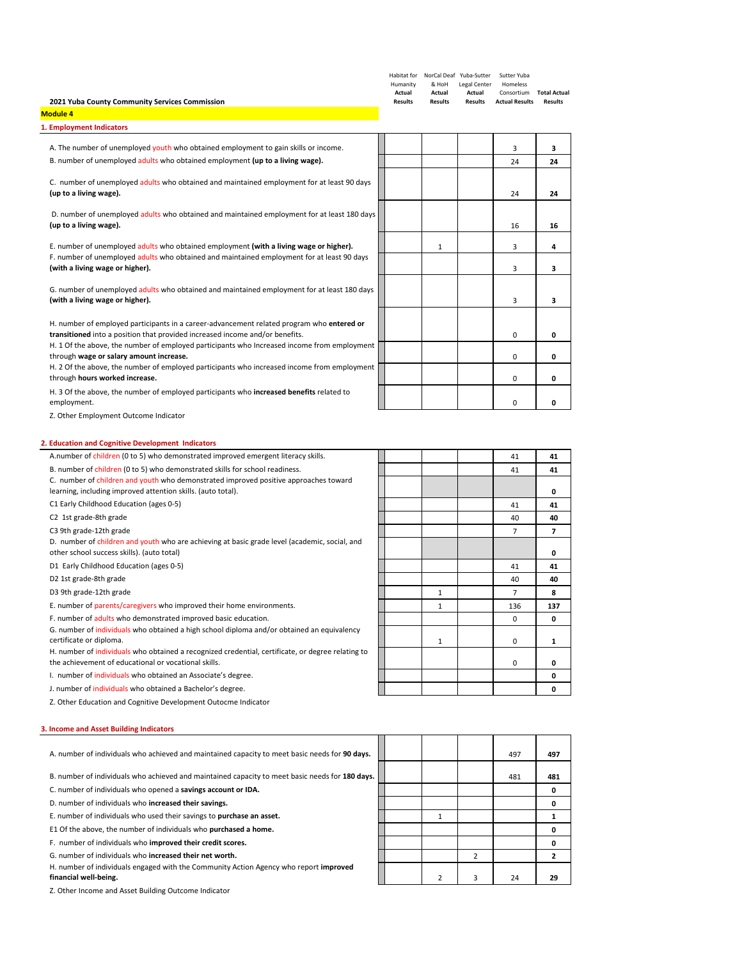| 2021 Yuba County Community Services Commission                                                                                                                            | Humanity<br>Actual<br><b>Results</b> | Habitat for    NorCal Deaf    Yuba-Sutter<br>& HoH<br>Actual<br><b>Results</b> | Legal Center<br>Actual | Sutter Yuba<br>Homeless<br>Consortium Total Actual<br><b>Results Actual Results</b> | <b>Results</b> |
|---------------------------------------------------------------------------------------------------------------------------------------------------------------------------|--------------------------------------|--------------------------------------------------------------------------------|------------------------|-------------------------------------------------------------------------------------|----------------|
| <b>Module 4</b><br>1. Employment Indicators                                                                                                                               |                                      |                                                                                |                        |                                                                                     |                |
| A. The number of unemployed youth who obtained employment to gain skills or income.                                                                                       |                                      |                                                                                |                        | 3                                                                                   | з              |
| B. number of unemployed adults who obtained employment (up to a living wage).                                                                                             |                                      |                                                                                |                        | 24                                                                                  | 24             |
|                                                                                                                                                                           |                                      |                                                                                |                        |                                                                                     |                |
| C. number of unemployed adults who obtained and maintained employment for at least 90 days<br>(up to a living wage).                                                      |                                      |                                                                                |                        | 24                                                                                  | 24             |
| D. number of unemployed adults who obtained and maintained employment for at least 180 days<br>(up to a living wage).                                                     |                                      |                                                                                |                        | 16                                                                                  | 16             |
| E. number of unemployed adults who obtained employment (with a living wage or higher).                                                                                    |                                      | $\mathbf{1}$                                                                   |                        | 3                                                                                   | 4              |
| F. number of unemployed adults who obtained and maintained employment for at least 90 days<br>(with a living wage or higher).                                             |                                      |                                                                                |                        | 3                                                                                   | з              |
| G. number of unemployed adults who obtained and maintained employment for at least 180 days<br>(with a living wage or higher).                                            |                                      |                                                                                |                        | 3                                                                                   | з              |
| H. number of employed participants in a career-advancement related program who entered or<br>transitioned into a position that provided increased income and/or benefits. |                                      |                                                                                |                        | 0                                                                                   | 0              |
| H. 1 Of the above, the number of employed participants who Increased income from employment<br>through wage or salary amount increase.                                    |                                      |                                                                                |                        | 0                                                                                   | 0              |
| H. 2 Of the above, the number of employed participants who increased income from employment<br>through hours worked increase.                                             |                                      |                                                                                |                        | 0                                                                                   | 0              |
| H. 3 Of the above, the number of employed participants who <b>increased benefits</b> related to<br>employment.                                                            |                                      |                                                                                |                        | 0                                                                                   | 0              |
| 2. Education and Cognitive Development Indicators<br>A.number of children (0 to 5) who demonstrated improved emergent literacy skills.                                    |                                      |                                                                                |                        | 41                                                                                  | 41             |
| B. number of children (0 to 5) who demonstrated skills for school readiness.                                                                                              |                                      |                                                                                |                        | 41                                                                                  | 41             |
| C. number of children and youth who demonstrated improved positive approaches toward<br>learning, including improved attention skills. (auto total).                      |                                      |                                                                                |                        |                                                                                     | 0              |
| C1 Early Childhood Education (ages 0-5)                                                                                                                                   |                                      |                                                                                |                        | 41                                                                                  | 41             |
| C2 1st grade-8th grade                                                                                                                                                    |                                      |                                                                                |                        | 40                                                                                  | 40             |
| C3 9th grade-12th grade                                                                                                                                                   |                                      |                                                                                |                        | $\overline{7}$                                                                      | $\overline{7}$ |
| D. number of children and youth who are achieving at basic grade level (academic, social, and<br>other school success skills). (auto total)                               |                                      |                                                                                |                        |                                                                                     | 0              |
| D1 Early Childhood Education (ages 0-5)                                                                                                                                   |                                      |                                                                                |                        | 41                                                                                  | 41             |
| D2 1st grade-8th grade                                                                                                                                                    |                                      |                                                                                |                        | 40                                                                                  | 40             |
| D3 9th grade-12th grade                                                                                                                                                   |                                      | 1                                                                              |                        | $\overline{7}$                                                                      | 8              |
| E. number of parents/caregivers who improved their home environments.                                                                                                     |                                      | $\mathbf{1}$                                                                   |                        | 136                                                                                 | 137            |
| F. number of adults who demonstrated improved basic education.                                                                                                            |                                      |                                                                                |                        | 0                                                                                   | 0              |
| G. number of individuals who obtained a high school diploma and/or obtained an equivalency<br>certificate or diploma.                                                     |                                      | 1                                                                              |                        | 0                                                                                   | 1              |
| H. number of individuals who obtained a recognized credential, certificate, or degree relating to<br>the achievement of educational or vocational skills.                 |                                      |                                                                                |                        |                                                                                     |                |
| I. number of individuals who obtained an Associate's degree.                                                                                                              |                                      |                                                                                |                        | 0                                                                                   | 0<br>0         |
| J. number of individuals who obtained a Bachelor's degree.                                                                                                                |                                      |                                                                                |                        |                                                                                     | 0              |
| Z. Other Education and Cognitive Development Outocme Indicator                                                                                                            |                                      |                                                                                |                        |                                                                                     |                |
| 3. Income and Asset Building Indicators                                                                                                                                   |                                      |                                                                                |                        |                                                                                     |                |
| A. number of individuals who achieved and maintained capacity to meet basic needs for 90 days.                                                                            |                                      |                                                                                |                        | 497                                                                                 | 497            |

B. number of individuals who achieved and maintained capacity to meet basic needs for 180 days. C. number of individuals who opened a **savings account or IDA. 0**

D. number of individuals who **increased their savings. 0**

E. number of individuals who used their savings to **purchase an asset.** 1 **1** E1 Of the above, the number of individuals who **purchased a home. 0**

F. number of individuals who **improved their credit scores. 0**

G. number of individuals who **increased their net worth.** 2 **2** H. number of individuals engaged with the Community Action Agency who report **improved**

**financial well‐being.** 2 3 24 **29**

Z. Other Income and Asset Building Outcome Indicator

|  |                |                | 497 | 497            |
|--|----------------|----------------|-----|----------------|
|  |                |                | 481 | 481            |
|  |                |                |     | 0              |
|  |                |                |     | 0              |
|  | $\mathbf{1}$   |                |     | 1              |
|  |                |                |     | 0              |
|  |                |                |     | 0              |
|  |                | $\overline{2}$ |     | $\overline{2}$ |
|  | $\overline{2}$ | 3              | 24  | 29             |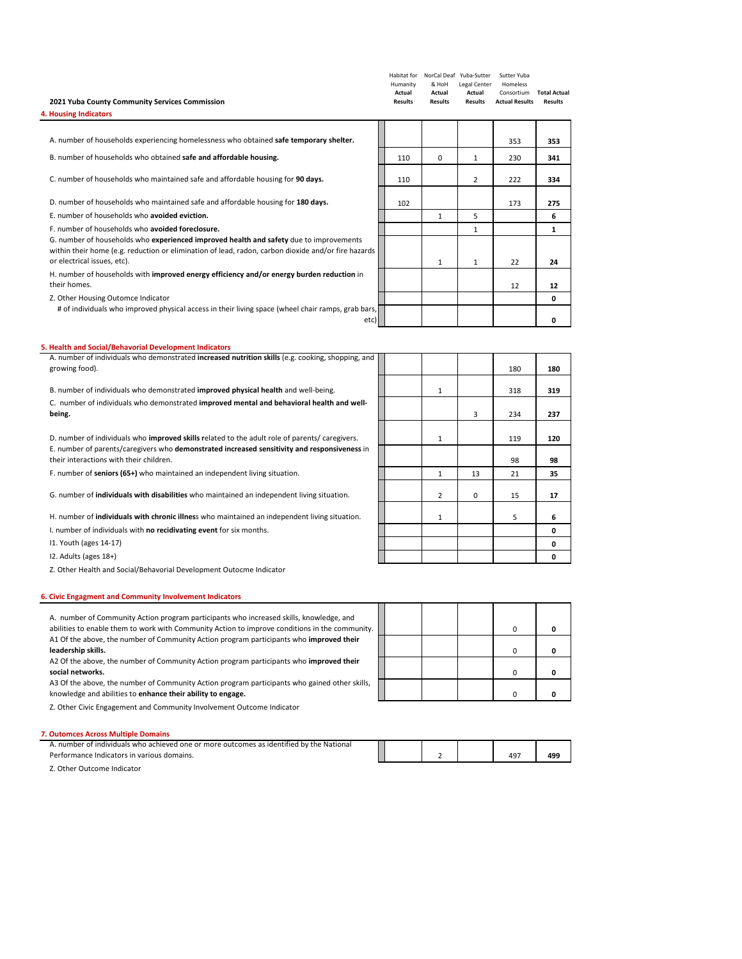| 2021 Yuba County Community Services Commission<br>4. Housing Indicators                                                                                                                                                      | Habitat for<br>Humanity<br>Actual<br><b>Results</b> | NorCal Deaf Yuba-Sutter<br>& HoH<br>Actual<br><b>Results</b> | Legal Center<br>Actual<br><b>Results</b> | Sutter Yuba<br>Homeless<br>Consortium<br><b>Actual Results</b> | <b>Total Actual</b><br><b>Results</b> |
|------------------------------------------------------------------------------------------------------------------------------------------------------------------------------------------------------------------------------|-----------------------------------------------------|--------------------------------------------------------------|------------------------------------------|----------------------------------------------------------------|---------------------------------------|
|                                                                                                                                                                                                                              |                                                     |                                                              |                                          |                                                                |                                       |
| A. number of households experiencing homelessness who obtained safe temporary shelter.                                                                                                                                       |                                                     |                                                              |                                          | 353                                                            | 353                                   |
| B. number of households who obtained safe and affordable housing.                                                                                                                                                            | 110                                                 | $\Omega$                                                     | 1                                        | 230                                                            | 341                                   |
| C. number of households who maintained safe and affordable housing for 90 days.                                                                                                                                              | 110                                                 |                                                              | $\overline{2}$                           | 222                                                            | 334                                   |
| D. number of households who maintained safe and affordable housing for 180 days.                                                                                                                                             | 102                                                 |                                                              |                                          | 173                                                            | 275                                   |
| E. number of households who avoided eviction.                                                                                                                                                                                |                                                     | 1                                                            | 5                                        |                                                                | 6                                     |
| E, number of households who avoided foreclosure.                                                                                                                                                                             |                                                     |                                                              | 1                                        |                                                                | 1                                     |
| G. number of households who experienced improved health and safety due to improvements<br>within their home (e.g. reduction or elimination of lead, radon, carbon dioxide and/or fire hazards<br>or electrical issues, etc). |                                                     | $\mathbf{1}$                                                 | $\mathbf{1}$                             | 22                                                             | 24                                    |
| H. number of households with improved energy efficiency and/or energy burden reduction in<br>their homes.                                                                                                                    |                                                     |                                                              |                                          | 12                                                             | 12                                    |
| Z. Other Housing Outomce Indicator                                                                                                                                                                                           |                                                     |                                                              |                                          |                                                                | 0                                     |
| # of individuals who improved physical access in their living space (wheel chair ramps, grab bars,<br>etc)                                                                                                                   |                                                     |                                                              |                                          |                                                                | 0                                     |

## **5. Health and Social/Behavorial Development Indicators**

| A. number of individuals who demonstrated increased nutrition skills (e.g. cooking, shopping, and<br>growing food). |  |                |          | 180 | 180 |
|---------------------------------------------------------------------------------------------------------------------|--|----------------|----------|-----|-----|
|                                                                                                                     |  |                |          |     |     |
| B. number of individuals who demonstrated <b>improved physical health</b> and well-being.                           |  | 1              |          | 318 | 319 |
| C. number of individuals who demonstrated improved mental and behavioral health and well-                           |  |                |          |     |     |
| being.                                                                                                              |  |                | 3        | 234 | 237 |
|                                                                                                                     |  |                |          |     |     |
| D. number of individuals who improved skills related to the adult role of parents/caregivers.                       |  | 1              |          | 119 | 120 |
| E. number of parents/caregivers who demonstrated increased sensitivity and responsiveness in                        |  |                |          |     |     |
| their interactions with their children.                                                                             |  |                |          | 98  | 98  |
| F. number of seniors (65+) who maintained an independent living situation.                                          |  | 1              | 13       | 21  | 35  |
|                                                                                                                     |  |                |          |     |     |
| G. number of individuals with disabilities who maintained an independent living situation.                          |  | $\overline{2}$ | $\Omega$ | 15  | 17  |
|                                                                                                                     |  |                |          |     |     |
| H. number of <b>individuals with chronic illness</b> who maintained an independent living situation.                |  | 1              |          | 5   | 6   |
| I. number of individuals with no recidivating event for six months.                                                 |  |                |          |     | 0   |
| 11. Youth (ages 14-17)                                                                                              |  |                |          |     | 0   |
| 12. Adults (ages 18+)                                                                                               |  |                |          |     | 0   |
|                                                                                                                     |  |                |          |     |     |

Z. Other Health and Social/Behavorial Development Outocme Indicator

#### **6. Civic Engagment and Community Involvement Indicators**

| A. number of Community Action program participants who increased skills, knowledge, and<br>abilities to enable them to work with Community Action to improve conditions in the community. |  |  |  |
|-------------------------------------------------------------------------------------------------------------------------------------------------------------------------------------------|--|--|--|
| A1 Of the above, the number of Community Action program participants who improved their                                                                                                   |  |  |  |
| leadership skills.                                                                                                                                                                        |  |  |  |
| A2 Of the above, the number of Community Action program participants who improved their                                                                                                   |  |  |  |
| social networks.                                                                                                                                                                          |  |  |  |

A3 Of the above, the number of Community Action program participants who gained other skills, knowledge and abilities to **enhance their ability to engage.** 0 **0**

Z. Other Civic Engagement and Community Involvement Outcome Indicator

## **7. Outomces Across Multiple Domains**

| .<br>r of individuals who achieved one or more outcomes as identified by the National .<br>. number |  |  |     |     |
|-----------------------------------------------------------------------------------------------------|--|--|-----|-----|
| Performance Indicators in various domains.                                                          |  |  | 497 | 499 |

Z. Other Outcome Indicator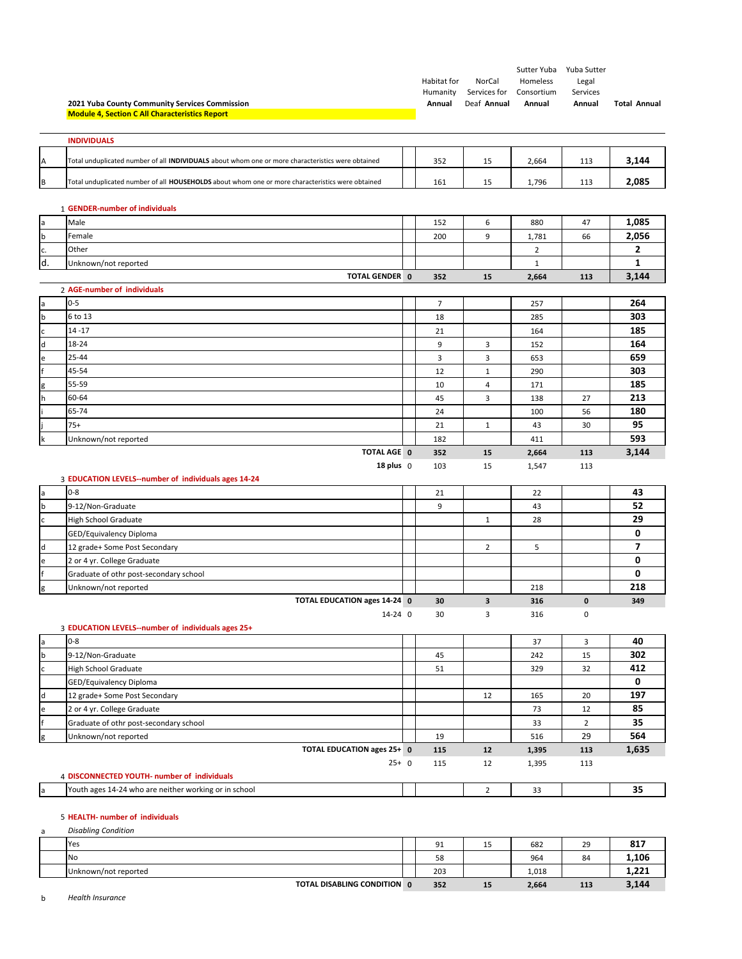|                  | 2021 Yuba County Community Services Commission                                                    | Habitat for<br>Humanity<br>Annual | NorCal<br>Services for<br>Deaf Annual | Sutter Yuba<br>Homeless<br>Consortium<br>Annual | Yuba Sutter<br>Legal<br>Services<br>Annual | <b>Total Annual</b> |
|------------------|---------------------------------------------------------------------------------------------------|-----------------------------------|---------------------------------------|-------------------------------------------------|--------------------------------------------|---------------------|
|                  | <b>Module 4, Section C All Characteristics Report</b>                                             |                                   |                                       |                                                 |                                            |                     |
|                  | <b>INDIVIDUALS</b>                                                                                |                                   |                                       |                                                 |                                            |                     |
|                  |                                                                                                   |                                   |                                       |                                                 |                                            |                     |
| Α                | Total unduplicated number of all INDIVIDUALS about whom one or more characteristics were obtained | 352                               | 15                                    | 2,664                                           | 113                                        | 3,144               |
| B                | Total unduplicated number of all HOUSEHOLDS about whom one or more characteristics were obtained  | 161                               | 15                                    | 1,796                                           | 113                                        | 2,085               |
|                  | 1 GENDER-number of individuals                                                                    |                                   |                                       |                                                 |                                            |                     |
| a                | Male                                                                                              | 152                               | 6                                     | 880                                             | 47                                         | 1,085               |
| b                | Female                                                                                            | 200                               | 9                                     | 1,781                                           | 66                                         | 2,056               |
| c.               | Other                                                                                             |                                   |                                       | $\overline{2}$                                  |                                            | 2                   |
| d.               | Unknown/not reported                                                                              |                                   |                                       | $\mathbf{1}$                                    |                                            | $\mathbf{1}$        |
|                  | <b>TOTAL GENDER 0</b>                                                                             | 352                               | 15                                    | 2,664                                           | 113                                        | 3,144               |
|                  | 2 AGE-number of individuals                                                                       |                                   |                                       |                                                 |                                            |                     |
| a                | $0 - 5$                                                                                           | 7                                 |                                       | 257                                             |                                            | 264                 |
| $\mathbf b$      | 6 to 13                                                                                           | 18                                |                                       | 285                                             |                                            | 303                 |
| $\mathsf c$      | $14 - 17$                                                                                         | 21                                |                                       | 164                                             |                                            | 185                 |
| $\sf d$          | 18-24                                                                                             | 9                                 | 3                                     | 152                                             |                                            | 164                 |
| e                | 25-44                                                                                             | 3                                 | 3                                     | 653                                             |                                            | 659                 |
|                  | 45-54                                                                                             | 12                                | $\mathbf{1}$                          | 290                                             |                                            | 303                 |
| g                | 55-59                                                                                             | 10                                | 4                                     | 171                                             |                                            | 185                 |
| h                | 60-64                                                                                             | 45                                | 3                                     | 138                                             | 27                                         | 213                 |
|                  | 65-74                                                                                             | 24                                |                                       | 100                                             | 56                                         | 180                 |
|                  | $75+$                                                                                             | 21                                | $\mathbf{1}$                          | 43                                              | 30                                         | 95                  |
| k                | Unknown/not reported                                                                              | 182                               |                                       | 411                                             |                                            | 593                 |
|                  | TOTAL AGE 0                                                                                       | 352                               | 15                                    | 2,664                                           | 113                                        | 3,144               |
|                  | 18 plus $0$                                                                                       | 103                               | 15                                    | 1,547                                           | 113                                        |                     |
|                  | 3 EDUCATION LEVELS--number of individuals ages 14-24                                              |                                   |                                       |                                                 |                                            |                     |
| a                | $0 - 8$                                                                                           | 21                                |                                       | 22                                              |                                            | 43                  |
| $\mathsf b$      | 9-12/Non-Graduate                                                                                 | 9                                 |                                       | 43                                              |                                            | 52                  |
| c                | <b>High School Graduate</b>                                                                       |                                   | $\mathbf{1}$                          | 28                                              |                                            | 29                  |
|                  | GED/Equivalency Diploma                                                                           |                                   |                                       |                                                 |                                            | 0                   |
| d                | 12 grade+ Some Post Secondary                                                                     |                                   | 2                                     | 5                                               |                                            | $\overline{ }$      |
| e                | 2 or 4 yr. College Graduate                                                                       |                                   |                                       |                                                 |                                            | 0                   |
| ١f               | Graduate of othr post-secondary school                                                            |                                   |                                       |                                                 |                                            | 0                   |
| g                | Unknown/not reported                                                                              |                                   |                                       | 218                                             |                                            | 218                 |
|                  | TOTAL EDUCATION ages 14-24 0                                                                      | 30                                | 3                                     | 316                                             | $\mathbf 0$                                | 349                 |
|                  | 14-24 0                                                                                           | 30                                | 3                                     | 316                                             | 0                                          |                     |
|                  | 3 EDUCATION LEVELS--number of individuals ages 25+<br>$0 - 8$                                     |                                   |                                       |                                                 |                                            | 40                  |
| a<br>$\mathsf b$ | 9-12/Non-Graduate                                                                                 | 45                                |                                       | 37<br>242                                       | 3<br>15                                    | 302                 |
|                  |                                                                                                   | 51                                |                                       | 329                                             | 32                                         | 412                 |
| $\mathsf c$      | High School Graduate                                                                              |                                   |                                       |                                                 |                                            | 0                   |
|                  | GED/Equivalency Diploma                                                                           |                                   |                                       |                                                 |                                            | 197                 |
| d                | 12 grade+ Some Post Secondary<br>2 or 4 yr. College Graduate                                      |                                   | 12                                    | 165<br>73                                       | 20<br>12                                   | 85                  |
| e<br>f           |                                                                                                   |                                   |                                       |                                                 | $\overline{2}$                             | 35                  |
|                  | Graduate of othr post-secondary school                                                            |                                   |                                       | 33                                              | 29                                         | 564                 |
| g                | Unknown/not reported<br>TOTAL EDUCATION ages 25+ 0                                                | 19                                | 12                                    | 516                                             |                                            | 1,635               |
|                  | $25+ 0$                                                                                           | 115<br>115                        | 12                                    | 1,395<br>1,395                                  | 113<br>113                                 |                     |
|                  | 4 DISCONNECTED YOUTH- number of individuals                                                       |                                   |                                       |                                                 |                                            |                     |
| a                | Youth ages 14-24 who are neither working or in school                                             |                                   | $\overline{2}$                        | 33                                              |                                            | 35                  |
|                  |                                                                                                   |                                   |                                       |                                                 |                                            |                     |

#### 5 **HEALTH‐ number of individuals**

| a | <b>Disabling Condition</b>  |     |    |       |     |       |
|---|-----------------------------|-----|----|-------|-----|-------|
|   | Yes                         | 91  | 15 | 682   | 29  | 817   |
|   | <b>No</b>                   | 58  |    | 964   | 84  | 1,106 |
|   | Unknown/not reported        | 203 |    | 1,018 |     | 1,221 |
|   | TOTAL DISABLING CONDITION 0 | 352 | 15 | 2,664 | 113 | 3,144 |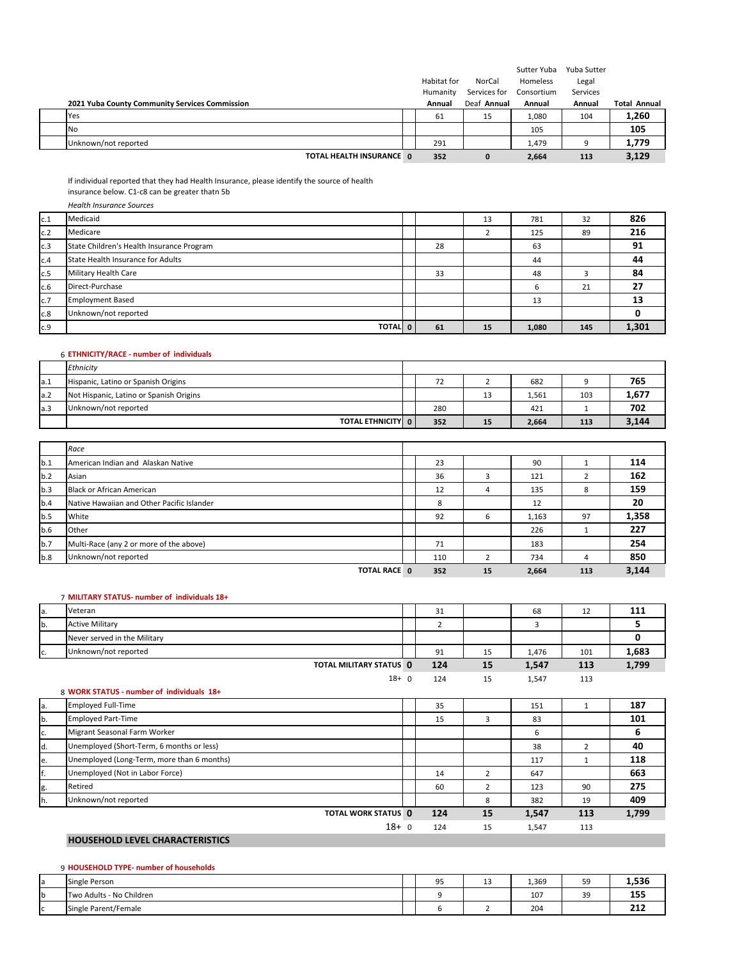|                                                |             |              | Sutter Yuba | Yuba Sutter |                     |
|------------------------------------------------|-------------|--------------|-------------|-------------|---------------------|
|                                                | Habitat for | NorCal       | Homeless    | Legal       |                     |
|                                                | Humanity    | Services for | Consortium  | Services    |                     |
| 2021 Yuba County Community Services Commission | Annual      | Deaf Annual  | Annual      | Annual      | <b>Total Annual</b> |
| Yes                                            | 61          | 15           | 1,080       | 104         | 1,260               |
| <b>No</b>                                      |             |              | 105         |             | 105                 |
| Unknown/not reported                           | 291         |              | 1,479       | ۵           | 1,779               |
| TOTAL HEALTH INSURANCE 0                       | 352         | 0            | 2,664       | 113         | 3,129               |

If individual reported that they had Health Insurance, please identify the source of health

insurance below. C1‐c8 can be greater thatn 5b

|     | <b>Health Insurance Sources</b>           |    |    |       |     |       |
|-----|-------------------------------------------|----|----|-------|-----|-------|
| c.1 | Medicaid                                  |    | 13 | 781   | 32  | 826   |
| c.2 | Medicare                                  |    |    | 125   | 89  | 216   |
| c.3 | State Children's Health Insurance Program | 28 |    | 63    |     | 91    |
| c.4 | State Health Insurance for Adults         |    |    | 44    |     | 44    |
| c.5 | Military Health Care                      | 33 |    | 48    |     | 84    |
| c.6 | Direct-Purchase                           |    |    | ь     | 21  | 27    |
| c.7 | <b>Employment Based</b>                   |    |    | 13    |     | 13    |
| c.8 | Unknown/not reported                      |    |    |       |     |       |
| c.9 | TOTAL 0                                   | 61 | 15 | 1,080 | 145 | 1,301 |

## 6 **ETHNICITY/RACE ‐ number of individuals**

|      | Ethnicity                               |     |    |       |     |       |
|------|-----------------------------------------|-----|----|-------|-----|-------|
| a.1  | Hispanic, Latino or Spanish Origins     | 72  |    | 682   |     | 765   |
| a.2  | Not Hispanic, Latino or Spanish Origins |     | 13 | 1,561 | 103 | 1,677 |
| la.3 | Unknown/not reported                    | 280 |    | 421   |     | 702   |
|      | <b>TOTAL ETHNICITY</b> 0                | 352 | 15 | 2,664 | 113 | 3,144 |

|     | Race                                       |     |    |       |     |       |
|-----|--------------------------------------------|-----|----|-------|-----|-------|
| b.1 | American Indian and Alaskan Native         | 23  |    | 90    |     | 114   |
| b.2 | Asian                                      | 36  |    | 121   |     | 162   |
| b.3 | <b>Black or African American</b>           | 12  | 4  | 135   | 8   | 159   |
| b.4 | Native Hawaiian and Other Pacific Islander | 8   |    | 12    |     | 20    |
| b.5 | White                                      | 92  | 6  | 1,163 | 97  | 1,358 |
| b.6 | Other                                      |     |    | 226   |     | 227   |
| b.7 | Multi-Race (any 2 or more of the above)    | 71  |    | 183   |     | 254   |
| b.8 | Unknown/not reported                       | 110 |    | 734   |     | 850   |
|     | <b>TOTAL RACE 0</b>                        | 352 | 15 | 2,664 | 113 | 3,144 |

#### 7 **MILITARY STATUS‐ number of individuals 18+**

| la. | Veteran                      | 31  |    | 68    | 12  | 111   |
|-----|------------------------------|-----|----|-------|-----|-------|
| Ib. | <b>Active Military</b>       |     |    |       |     |       |
|     | Never served in the Military |     |    |       |     |       |
| IC. | Unknown/not reported         | 91  | 15 | 1,476 | 101 | 1,683 |
|     | TOTAL MILITARY STATUS 0      | 124 | 15 | 1,547 | 113 | 1,799 |
|     | $18 + 0$                     | 124 | 15 | 1,547 | 113 |       |

|    | 8 WORK STATUS - number of individuals 18+  |     |        |       |     |       |
|----|--------------------------------------------|-----|--------|-------|-----|-------|
| a. | <b>Employed Full-Time</b>                  | 35  |        | 151   |     | 187   |
| b. | <b>Employed Part-Time</b>                  | 15  | 3      | 83    |     | 101   |
| c. | Migrant Seasonal Farm Worker               |     |        | ь     |     | 6     |
| d. | Unemployed (Short-Term, 6 months or less)  |     |        | 38    |     | 40    |
| e. | Unemployed (Long-Term, more than 6 months) |     |        | 117   |     | 118   |
| f. | Unemployed (Not in Labor Force)            | 14  |        | 647   |     | 663   |
| g. | Retired                                    | 60  | h<br>∠ | 123   | 90  | 275   |
| h. | Unknown/not reported                       |     | 8      | 382   | 19  | 409   |
|    | <b>TOTAL WORK STATUS 0</b>                 | 124 | 15     | 1,547 | 113 | 1,799 |
|    | $18+0$                                     | 124 | 15     | 1,547 | 113 |       |

# **HOUSEHOLD LEVEL CHARACTERISTICS**

|             | 9 HOUSEHOLD TYPE- number of households |    |   |       |           |       |
|-------------|----------------------------------------|----|---|-------|-----------|-------|
| a           | Single Person                          | 95 | ᅩ | 1,369 | 59        | 1,536 |
| $\mathbf b$ | Two Adults - No Children               |    |   | 107   | ٦a<br>ر ر | 155   |
| $\sim$<br>้ | Single Parent/Female                   |    |   | 204   |           | 212   |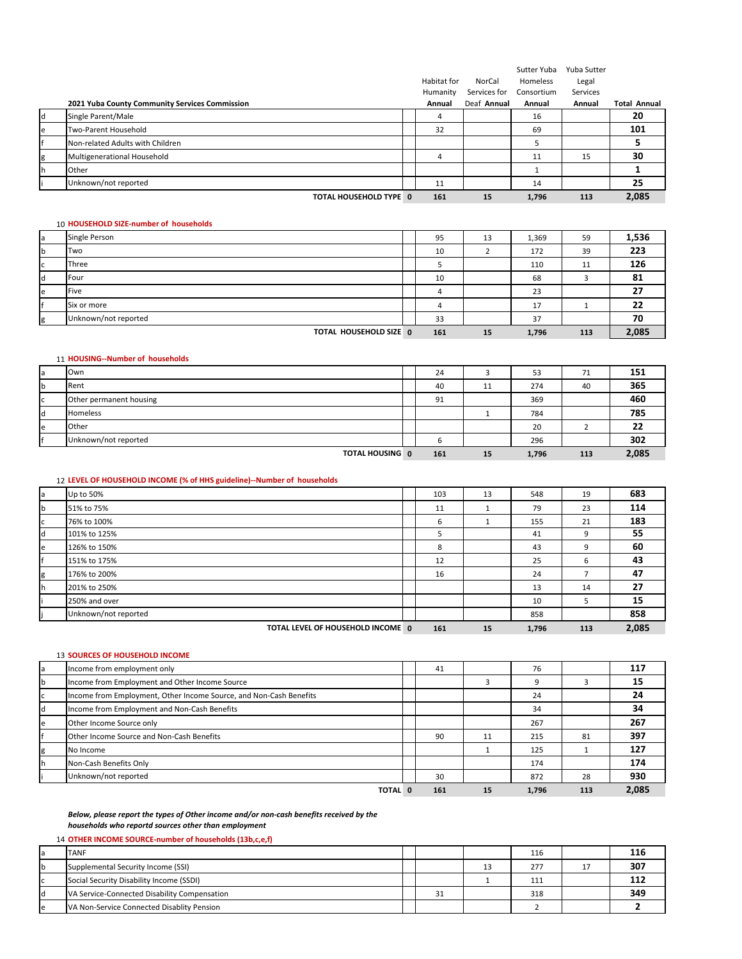|   |                                                | Habitat for<br>Humanity | NorCal<br>Services for | Sutter Yuba<br>Homeless<br>Consortium | Yuba Sutter<br>Legal<br>Services |                     |
|---|------------------------------------------------|-------------------------|------------------------|---------------------------------------|----------------------------------|---------------------|
|   | 2021 Yuba County Community Services Commission | Annual                  | Deaf Annual            | Annual                                | Annual                           | <b>Total Annual</b> |
|   | Single Parent/Male                             | 4                       |                        | 16                                    |                                  | 20                  |
| e | Two-Parent Household                           | 32                      |                        | 69                                    |                                  | 101                 |
|   | Non-related Adults with Children               |                         |                        |                                       |                                  |                     |
|   | Multigenerational Household                    | 4                       |                        | 11                                    | 15                               | 30                  |
|   | Other                                          |                         |                        |                                       |                                  |                     |
|   | Unknown/not reported                           | 11                      |                        | 14                                    |                                  | 25                  |
|   | TOTAL HOUSEHOLD TYPE 0                         | 161                     | 15                     | 1,796                                 | 113                              | 2,085               |

#### 10 **HOUSEHOLD SIZE‐number of households**

| Single Person          | 95  | 13 | 1,369   | 59  | 1,536 |
|------------------------|-----|----|---------|-----|-------|
| Two                    | 10  |    | 172     | 39  | 223   |
| Three                  |     |    | 110     | 11  | 126   |
| Four                   | 10  |    | 68      |     | 81    |
| Five                   |     |    | 23      |     | 27    |
| Six or more            |     |    | 17<br>⊥ |     | 22    |
| Unknown/not reported   | 33  |    | 37      |     | 70    |
| TOTAL HOUSEHOLD SIZE 0 | 161 | 15 | 1,796   | 113 | 2,085 |

## 11 **HOUSING‐‐Number of households**

|   | Own                     | 24  |    | 53    | 71  | 151   |
|---|-------------------------|-----|----|-------|-----|-------|
|   | Rent                    | 40  | 11 | 274   | 40  | 365   |
|   | Other permanent housing | 91  |    | 369   |     | 460   |
|   | Homeless                |     |    | 784   |     | 785   |
| e | Other                   |     |    | 20    |     | 22    |
|   | Unknown/not reported    | b   |    | 296   |     | 302   |
|   | <b>TOTAL HOUSING 0</b>  | 161 | 15 | 1,796 | 113 | 2,085 |

## 12 **LEVEL OF HOUSEHOLD INCOME (% of HHS guideline)‐‐Number of households**

| la | Up to 50%                         | 103 | 13 | 548   | 19  | 683   |
|----|-----------------------------------|-----|----|-------|-----|-------|
| b  | 51% to 75%                        | 11  |    | 79    | 23  | 114   |
| c  | 76% to 100%                       | 6   |    | 155   | 21  | 183   |
| d  | 101% to 125%                      | 5   |    | 41    | 9   | 55    |
| e  | 126% to 150%                      | 8   |    | 43    | 9   | 60    |
| f  | 151% to 175%                      | 12  |    | 25    | 6   | 43    |
| g  | 176% to 200%                      | 16  |    | 24    |     | 47    |
| h  | 201% to 250%                      |     |    | 13    | 14  | 27    |
|    | 250% and over                     |     |    | 10    | b.  | 15    |
|    | Unknown/not reported              |     |    | 858   |     | 858   |
|    | TOTAL LEVEL OF HOUSEHOLD INCOME 0 | 161 | 15 | 1,796 | 113 | 2,085 |

#### 13 **SOURCES OF HOUSEHOLD INCOME**

| a        | Income from employment only                                        | 41  |    | 76    |     | 117   |
|----------|--------------------------------------------------------------------|-----|----|-------|-----|-------|
| <b>b</b> | Income from Employment and Other Income Source                     |     |    | 9     |     | 15    |
| ГC       | Income from Employment, Other Income Source, and Non-Cash Benefits |     |    | 24    |     | 24    |
| Id       | Income from Employment and Non-Cash Benefits                       |     |    | 34    |     | 34    |
| e        | Other Income Source only                                           |     |    | 267   |     | 267   |
|          | Other Income Source and Non-Cash Benefits                          | 90  | 11 | 215   | 81  | 397   |
| g        | No Income                                                          |     |    | 125   |     | 127   |
| ۱h       | Non-Cash Benefits Only                                             |     |    | 174   |     | 174   |
|          | Unknown/not reported                                               | 30  |    | 872   | 28  | 930   |
|          | TOTAL 0                                                            | 161 | 15 | 1.796 | 113 | 2.085 |

#### *Below, please report the types of Other income and/or non‐cash benefits received by the households who reportd sources other than employment*

## 14 **OTHER INCOME SOURCE‐number of households (13b,c,e,f)**

| <b>a</b> | <b>TANF</b>                                  |  |    | 116 | 116 |
|----------|----------------------------------------------|--|----|-----|-----|
| Ib       | Supplemental Security Income (SSI)           |  | 13 | 277 | 307 |
| l C      | Social Security Disability Income (SSDI)     |  |    | 111 |     |
| ld       | VA Service-Connected Disability Compensation |  |    | 318 | 349 |
| l e      | VA Non-Service Connected Disablity Pension   |  |    |     |     |